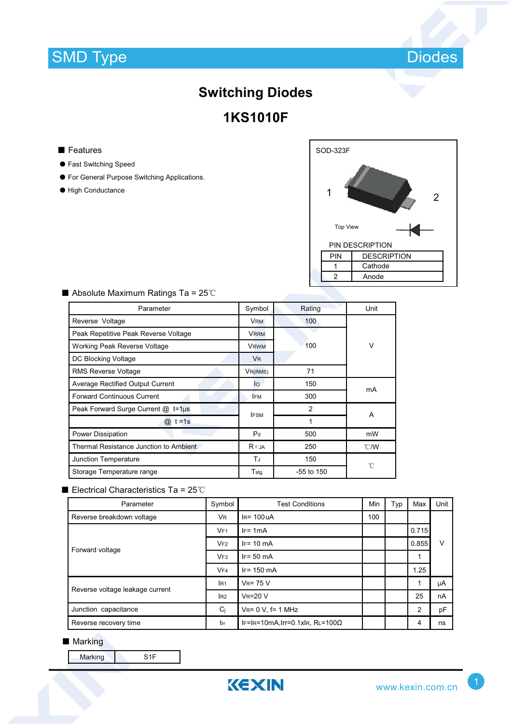

# **Switching Diodes 1KS1010F**

#### ■ Features

- ƽ Fast Switching Speed
- ƽ For General Purpose Switching Applications.
- ƽ High Conductance



| Parameter                               | Symbol           | Rating         | Unit          |  |
|-----------------------------------------|------------------|----------------|---------------|--|
| Reverse Voltage                         | <b>VRM</b>       | 100            |               |  |
| Peak Repetitive Peak Reverse Voltage    | <b>VRRM</b>      |                | $\vee$        |  |
| Working Peak Reverse Voltage            | <b>VRWM</b>      | 100            |               |  |
| DC Blocking Voltage                     | V <sub>R</sub>   |                |               |  |
| <b>RMS Reverse Voltage</b>              | $V_{R(RMS)}$     | 71             |               |  |
| <b>Average Rectified Output Current</b> | lo               | 150<br>mA      |               |  |
| <b>Forward Continuous Current</b>       | <b>IFM</b>       | 300            |               |  |
| Peak Forward Surge Current @ t=1µs      | <b>IFSM</b>      | $\overline{2}$ | A             |  |
| $@: t = 1s$                             |                  | 1              |               |  |
| Power Dissipation                       | P <sub>d</sub>   | 500            | mW            |  |
| Thermal Resistance Junction to Ambient  | $R \theta$ JA    | 250            | $\degree$ C/W |  |
| <b>Junction Temperature</b>             | TJ               | 150            | °C            |  |
| Storage Temperature range               | $T_{\text{stq}}$ | $-55$ to $150$ |               |  |

### $\blacksquare$  Absolute Maximum Ratings Ta = 25°C

## Electrical Characteristics Ta =  $25^{\circ}$ C

| Parameter                       | Symbol          | <b>Test Conditions</b>                 |     | Typ | Max   | Unit |
|---------------------------------|-----------------|----------------------------------------|-----|-----|-------|------|
| Reverse breakdown voltage       | <b>VR</b>       | $IR = 100UA$                           | 100 |     |       |      |
| Forward voltage                 | V <sub>F1</sub> | $IF = 1mA$                             |     |     | 0.715 | v    |
|                                 | VF2             | $IF = 10 mA$                           |     |     | 0.855 |      |
|                                 | VF3             | $IF = 50 mA$                           |     |     | 1     |      |
|                                 | VF4             | $IF = 150$ mA                          |     |     | 1.25  |      |
| Reverse voltage leakage current | IR <sub>1</sub> | $V_R = 75 V$                           |     |     | 1     | μA   |
|                                 | I <sub>R2</sub> | $V_R = 20 V$                           |     |     | 25    | nA   |
| Junction capacitance            | Ci              | $V_{R} = 0 V$ , f= 1 MHz               |     |     | 2     | pF   |
| Reverse recovery time           | trr             | $IF=IR=10mA, Irr=0.1xIR, RL=100\Omega$ |     |     | 4     | ns   |

#### ■ Marking

Marking S1F

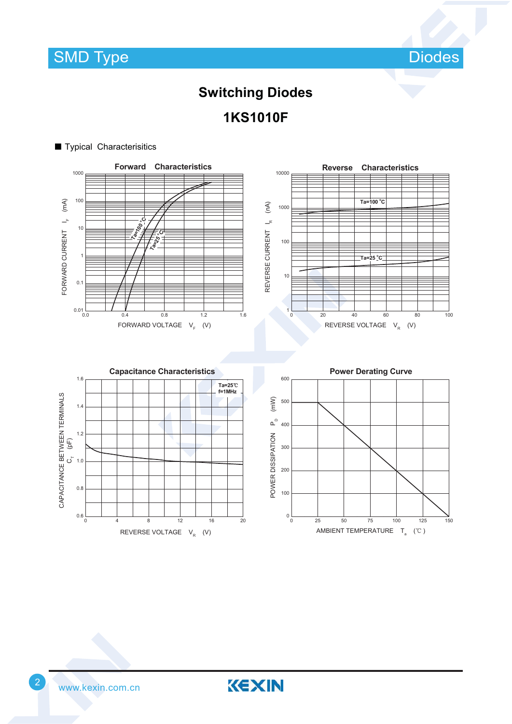

# **Switching Diodes 1KS1010F**



KEXIN